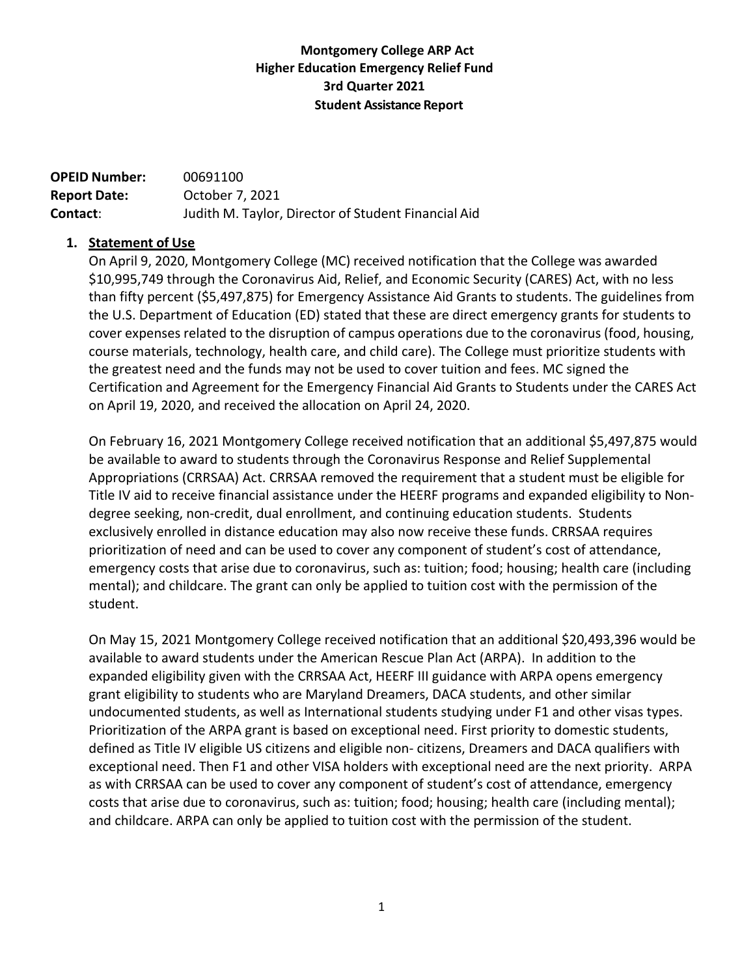# **Montgomery College ARP Act Higher Education Emergency Relief Fund 3rd Quarter 2021 Student Assistance Report**

| <b>OPEID Number:</b> | 00691100                                            |
|----------------------|-----------------------------------------------------|
| <b>Report Date:</b>  | October 7, 2021                                     |
| Contact:             | Judith M. Taylor, Director of Student Financial Aid |

### **1. Statement of Use**

On April 9, 2020, Montgomery College (MC) received notification that the College was awarded \$10,995,749 through the Coronavirus Aid, Relief, and Economic Security (CARES) Act, with no less than fifty percent (\$5,497,875) for Emergency Assistance Aid Grants to students. The guidelines from the U.S. Department of Education (ED) stated that these are direct emergency grants for students to cover expenses related to the disruption of campus operations due to the coronavirus (food, housing, course materials, technology, health care, and child care). The College must prioritize students with the greatest need and the funds may not be used to cover tuition and fees. MC signed the Certification and Agreement for the Emergency Financial Aid Grants to Students under the CARES Act on April 19, 2020, and received the allocation on April 24, 2020.

On February 16, 2021 Montgomery College received notification that an additional \$5,497,875 would be available to award to students through the Coronavirus Response and Relief Supplemental Appropriations (CRRSAA) Act. CRRSAA removed the requirement that a student must be eligible for Title IV aid to receive financial assistance under the HEERF programs and expanded eligibility to Nondegree seeking, non-credit, dual enrollment, and continuing education students. Students exclusively enrolled in distance education may also now receive these funds. CRRSAA requires prioritization of need and can be used to cover any component of student's cost of attendance, emergency costs that arise due to coronavirus, such as: tuition; food; housing; health care (including mental); and childcare. The grant can only be applied to tuition cost with the permission of the student.

On May 15, 2021 Montgomery College received notification that an additional \$20,493,396 would be available to award students under the American Rescue Plan Act (ARPA). In addition to the expanded eligibility given with the CRRSAA Act, HEERF III guidance with ARPA opens emergency grant eligibility to students who are Maryland Dreamers, DACA students, and other similar undocumented students, as well as International students studying under F1 and other visas types. Prioritization of the ARPA grant is based on exceptional need. First priority to domestic students, defined as Title IV eligible US citizens and eligible non- citizens, Dreamers and DACA qualifiers with exceptional need. Then F1 and other VISA holders with exceptional need are the next priority. ARPA as with CRRSAA can be used to cover any component of student's cost of attendance, emergency costs that arise due to coronavirus, such as: tuition; food; housing; health care (including mental); and childcare. ARPA can only be applied to tuition cost with the permission of the student.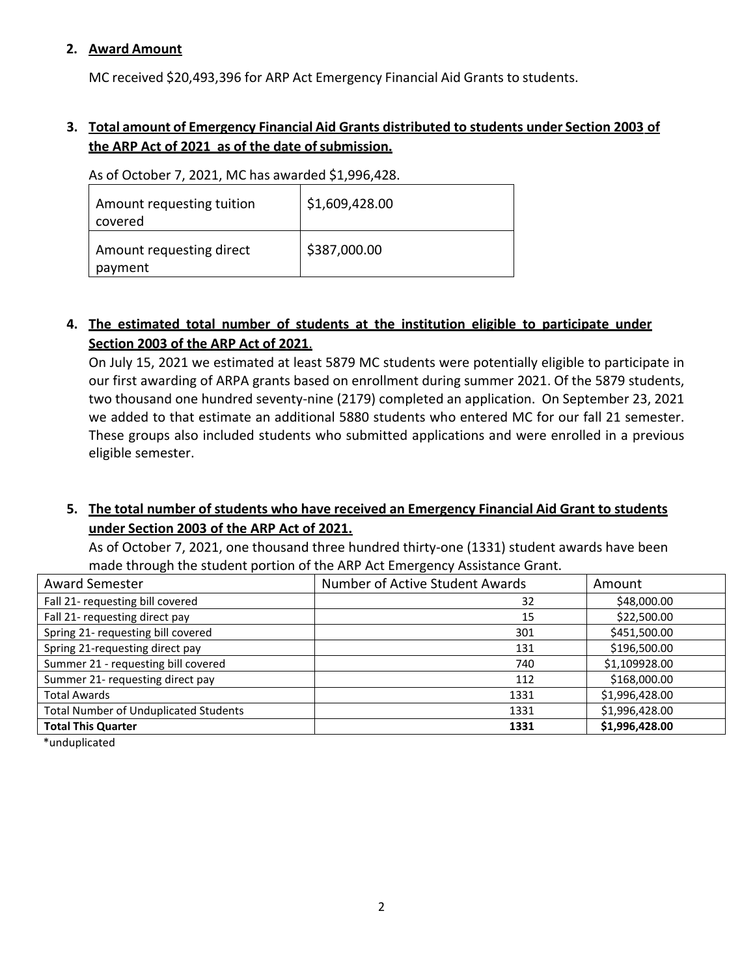### **2. Award Amount**

MC received \$20,493,396 for ARP Act Emergency Financial Aid Grants to students.

# **3. Total amount of Emergency Financial Aid Grants distributed to students under Section 2003 of the ARP Act of 2021 as of the date ofsubmission.**

As of October 7, 2021, MC has awarded \$1,996,428.

| Amount requesting tuition<br>covered | \$1,609,428.00 |
|--------------------------------------|----------------|
| Amount requesting direct<br>payment  | \$387,000.00   |

# **4. The estimated total number of students at the institution eligible to participate under Section 2003 of the ARP Act of 2021**.

On July 15, 2021 we estimated at least 5879 MC students were potentially eligible to participate in our first awarding of ARPA grants based on enrollment during summer 2021. Of the 5879 students, two thousand one hundred seventy-nine (2179) completed an application. On September 23, 2021 we added to that estimate an additional 5880 students who entered MC for our fall 21 semester. These groups also included students who submitted applications and were enrolled in a previous eligible semester.

# **5. The total number of students who have received an Emergency Financial Aid Grant to students under Section 2003 of the ARP Act of 2021.**

As of October 7, 2021, one thousand three hundred thirty-one (1331) student awards have been made through the student portion of the ARP Act Emergency Assistance Grant.

| <b>Award Semester</b>                        | Number of Active Student Awards | Amount         |
|----------------------------------------------|---------------------------------|----------------|
| Fall 21- requesting bill covered             | 32                              | \$48,000.00    |
| Fall 21- requesting direct pay               | 15                              | \$22,500.00    |
| Spring 21- requesting bill covered           | 301                             | \$451,500.00   |
| Spring 21-requesting direct pay              | 131                             | \$196,500.00   |
| Summer 21 - requesting bill covered          | 740                             | \$1,109928.00  |
| Summer 21- requesting direct pay             | 112                             | \$168,000.00   |
| <b>Total Awards</b>                          | 1331                            | \$1,996,428.00 |
| <b>Total Number of Unduplicated Students</b> | 1331                            | \$1,996,428.00 |
| <b>Total This Quarter</b>                    | 1331                            | \$1,996,428.00 |

\*unduplicated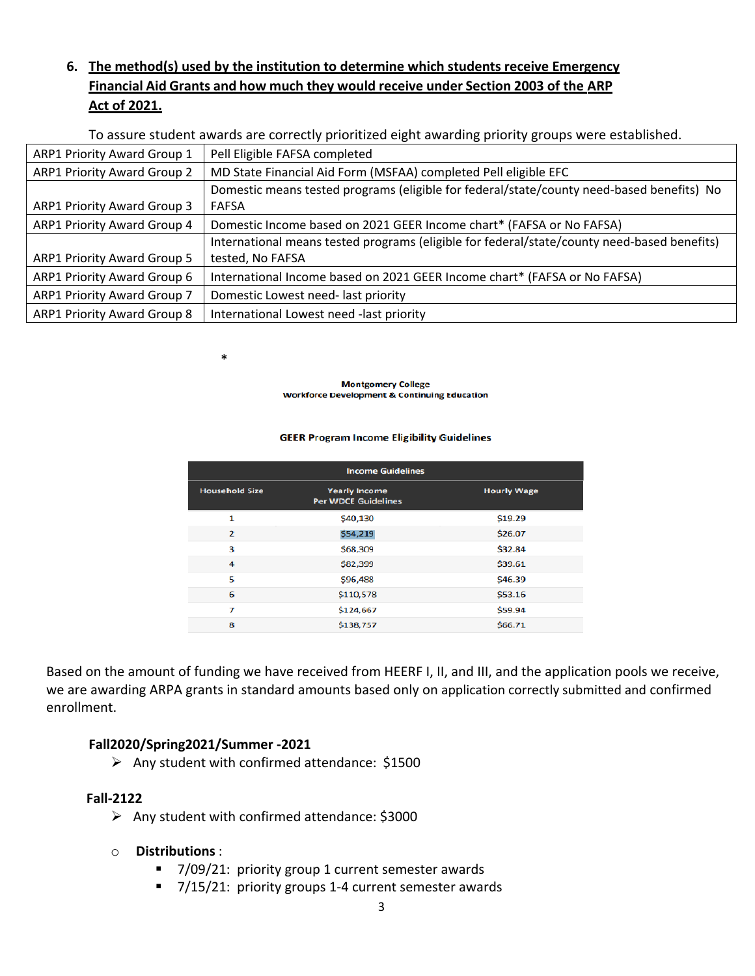# **6. The method(s) used by the institution to determine which students receive Emergency Financial Aid Grants and how much they would receive under Section 2003 of the ARP Act of 2021.**

To assure student awards are correctly prioritized eight awarding priority groups were established.

| ARP1 Priority Award Group 1        | Pell Eligible FAFSA completed                                                               |  |
|------------------------------------|---------------------------------------------------------------------------------------------|--|
| <b>ARP1 Priority Award Group 2</b> | MD State Financial Aid Form (MSFAA) completed Pell eligible EFC                             |  |
|                                    | Domestic means tested programs (eligible for federal/state/county need-based benefits) No   |  |
| ARP1 Priority Award Group 3        | <b>FAFSA</b>                                                                                |  |
| ARP1 Priority Award Group 4        | Domestic Income based on 2021 GEER Income chart* (FAFSA or No FAFSA)                        |  |
|                                    | International means tested programs (eligible for federal/state/county need-based benefits) |  |
| <b>ARP1 Priority Award Group 5</b> | tested, No FAFSA                                                                            |  |
| ARP1 Priority Award Group 6        | International Income based on 2021 GEER Income chart* (FAFSA or No FAFSA)                   |  |
| ARP1 Priority Award Group 7        | Domestic Lowest need-last priority                                                          |  |
| <b>ARP1 Priority Award Group 8</b> | International Lowest need -last priority                                                    |  |

**Montgomery College Workforce Development & Continuing Education** 

#### **GEER Program Income Eligibility Guidelines**

| <b>Income Guidelines</b> |                                                    |                    |  |  |
|--------------------------|----------------------------------------------------|--------------------|--|--|
| <b>Household Size</b>    | <b>Yearly Income</b><br><b>Per WDCE Guidelines</b> | <b>Hourly Wage</b> |  |  |
| 1                        | \$40,130                                           | \$19.29            |  |  |
| $\overline{2}$           | \$54,219                                           | \$26.07            |  |  |
| 3                        | \$68,309                                           | \$32.84            |  |  |
| 4                        | \$82,399                                           | \$39.61            |  |  |
| 5                        | \$96,488                                           | \$46.39            |  |  |
| 6                        | \$110,578                                          | \$53.16            |  |  |
| 7                        | \$124,667                                          | \$59.94            |  |  |
| 8                        | \$138,757                                          | \$66.71            |  |  |

Based on the amount of funding we have received from HEERF I, II, and III, and the application pools we receive, we are awarding ARPA grants in standard amounts based only on application correctly submitted and confirmed enrollment.

### **Fall2020/Spring2021/Summer -2021**

\*

 $\triangleright$  Any student with confirmed attendance: \$1500

#### **Fall-2122**

- $\triangleright$  Any student with confirmed attendance: \$3000
- o **Distributions** :
	- 7/09/21: priority group 1 current semester awards
	- 7/15/21: priority groups 1-4 current semester awards